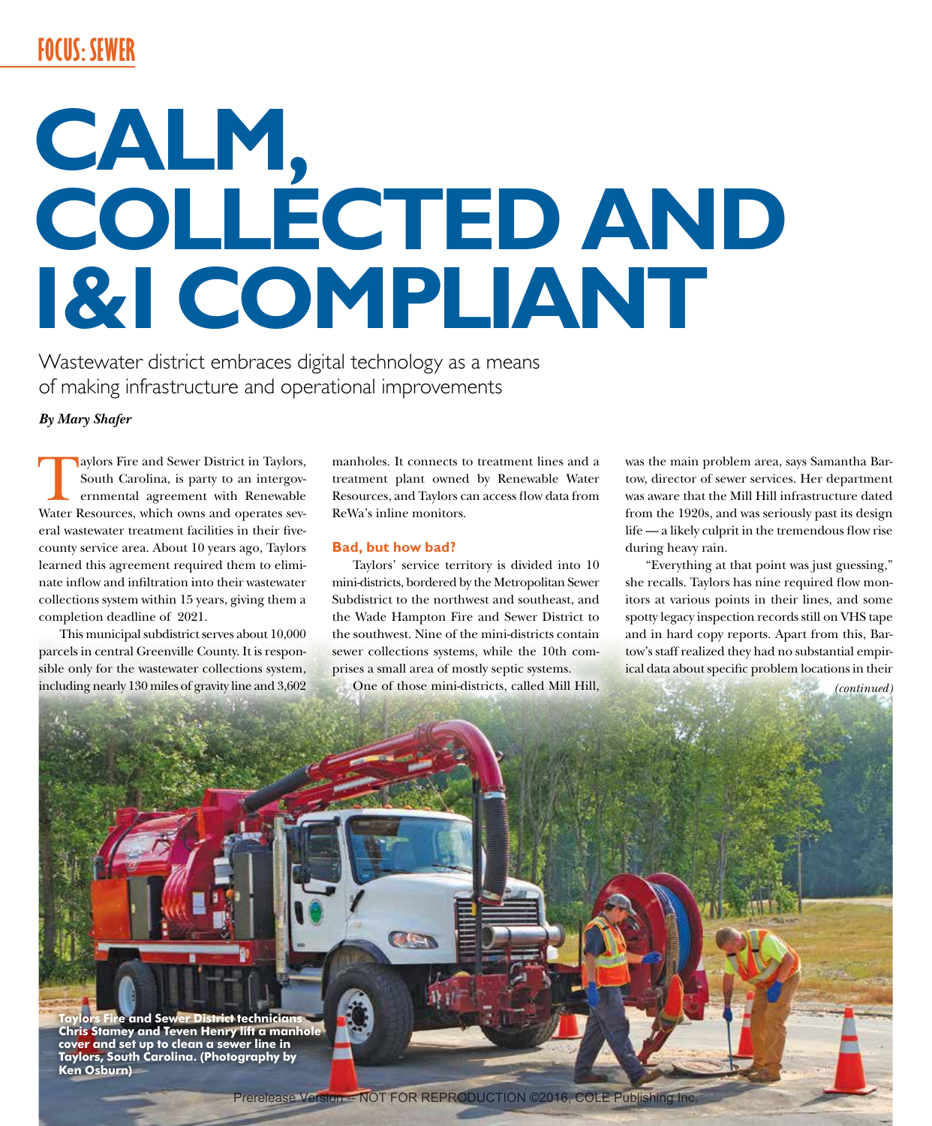# **FOCUS: SEWER**

# **CALM, COLLECTED AND I&I COMPLIANT**

Wastewater district embraces digital technology as a means of making infrastructure and operational improvements

*By Mary Shafer*

Aaylors Fire and Sewer District in Taylors, South Carolina, is party to an intergovernmental agreement with Renewable Water Resources, which owns and operates several wastewater treatment facilities in their fivecounty service area. About 10 years ago, Taylors learned this agreement required them to eliminate inflow and infiltration into their wastewater collections system within 15 years, giving them a completion deadline of 2021.

This municipal subdistrict serves about 10,000 parcels in central Greenville County. It is responsible only for the wastewater collections system, including nearly 130 miles of gravity line and 3,602 manholes. It connects to treatment lines and a treatment plant owned by Renewable Water Resources, and Taylors can access flow data from ReWa's inline monitors.

#### **Bad, but how bad?**

Taylors' service territory is divided into 10 mini-districts, bordered by the Metropolitan Sewer Subdistrict to the northwest and southeast, and the Wade Hampton Fire and Sewer District to the southwest. Nine of the mini-districts contain sewer collections systems, while the 10th comprises a small area of mostly septic systems.

One of those mini-districts, called Mill Hill,

was the main problem area, says Samantha Bartow, director of sewer services. Her department was aware that the Mill Hill infrastructure dated from the 1920s, and was seriously past its design life — a likely culprit in the tremendous flow rise during heavy rain.

"Everything at that point was just guessing," she recalls. Taylors has nine required flow monitors at various points in their lines, and some spotty legacy inspection records still on VHS tape and in hard copy reports. Apart from this, Bartow's staff realized they had no substantial empirical data about specific problem locations in their

*(continued)*

**Taylors Fire and Sewer District technicians Chris Stamey and Teven Henry lift a manhole cover and set up to clean a sewer line in Taylors, South Carolina. (Photography by Ken Osburn)**

**GET**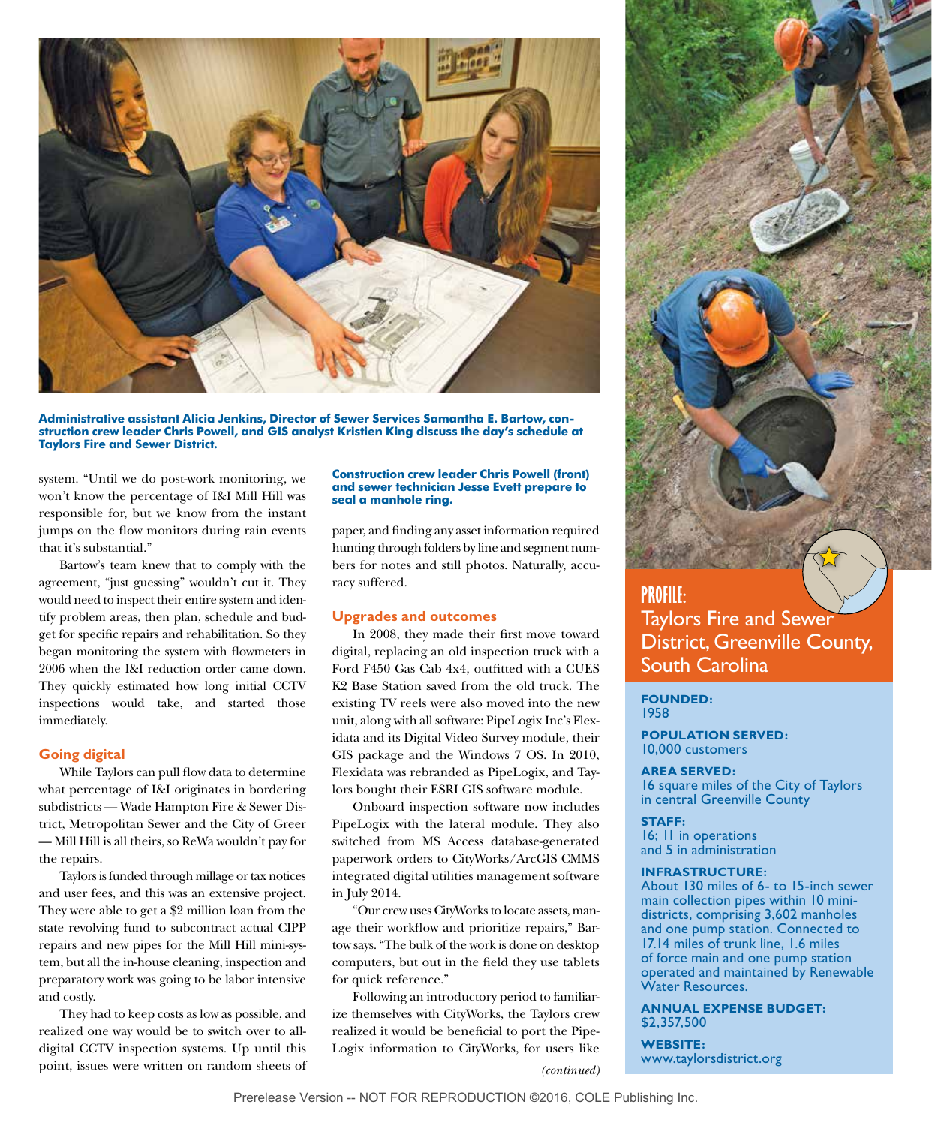

**Administrative assistant Alicia Jenkins, Director of Sewer Services Samantha E. Bartow, construction crew leader Chris Powell, and GIS analyst Kristien King discuss the day's schedule at Taylors Fire and Sewer District.** 

system. "Until we do post-work monitoring, we won't know the percentage of I&I Mill Hill was responsible for, but we know from the instant jumps on the flow monitors during rain events that it's substantial."

Bartow's team knew that to comply with the agreement, "just guessing" wouldn't cut it. They would need to inspect their entire system and identify problem areas, then plan, schedule and budget for specific repairs and rehabilitation. So they began monitoring the system with flowmeters in 2006 when the I&I reduction order came down. They quickly estimated how long initial CCTV inspections would take, and started those immediately.

#### **Going digital**

While Taylors can pull flow data to determine what percentage of I&I originates in bordering subdistricts — Wade Hampton Fire & Sewer District, Metropolitan Sewer and the City of Greer — Mill Hill is all theirs, so ReWa wouldn't pay for the repairs.

Taylors is funded through millage or tax notices and user fees, and this was an extensive project. They were able to get a \$2 million loan from the state revolving fund to subcontract actual CIPP repairs and new pipes for the Mill Hill mini-system, but all the in-house cleaning, inspection and preparatory work was going to be labor intensive and costly.

They had to keep costs as low as possible, and realized one way would be to switch over to alldigital CCTV inspection systems. Up until this point, issues were written on random sheets of

#### **Construction crew leader Chris Powell (front) and sewer technician Jesse Evett prepare to seal a manhole ring.**

paper, and finding any asset information required hunting through folders by line and segment numbers for notes and still photos. Naturally, accuracy suffered.

#### **Upgrades and outcomes**

In 2008, they made their first move toward digital, replacing an old inspection truck with a Ford F450 Gas Cab 4x4, outfitted with a CUES K2 Base Station saved from the old truck. The existing TV reels were also moved into the new unit, along with all software: PipeLogix Inc's Flexidata and its Digital Video Survey module, their GIS package and the Windows 7 OS. In 2010, Flexidata was rebranded as PipeLogix, and Taylors bought their ESRI GIS software module.

Onboard inspection software now includes PipeLogix with the lateral module. They also switched from MS Access database-generated paperwork orders to CityWorks/ArcGIS CMMS integrated digital utilities management software in July 2014.

"Our crew uses CityWorks to locate assets, manage their workflow and prioritize repairs," Bartow says. "The bulk of the work is done on desktop computers, but out in the field they use tablets for quick reference."

Following an introductory period to familiarize themselves with CityWorks, the Taylors crew realized it would be beneficial to port the Pipe-Logix information to CityWorks, for users like

*(continued)*

# **PROFILE:** Taylors Fire and Sewer District, Greenville County, South Carolina

**FOUNDED:** 1958

**POPULATION SERVED:** 10,000 customers

#### **AREA SERVED:**

16 square miles of the City of Taylors in central Greenville County

**STAFF:** 16; 11 in operations and 5 in administration

#### **INFRASTRUCTURE:**

About 130 miles of 6- to 15-inch sewer main collection pipes within 10 minidistricts, comprising 3,602 manholes and one pump station. Connected to 17.14 miles of trunk line, 1.6 miles of force main and one pump station operated and maintained by Renewable Water Resources.

**ANNUAL EXPENSE BUDGET:**  \$2,357,500

**WEBSITE:**  www.taylorsdistrict.org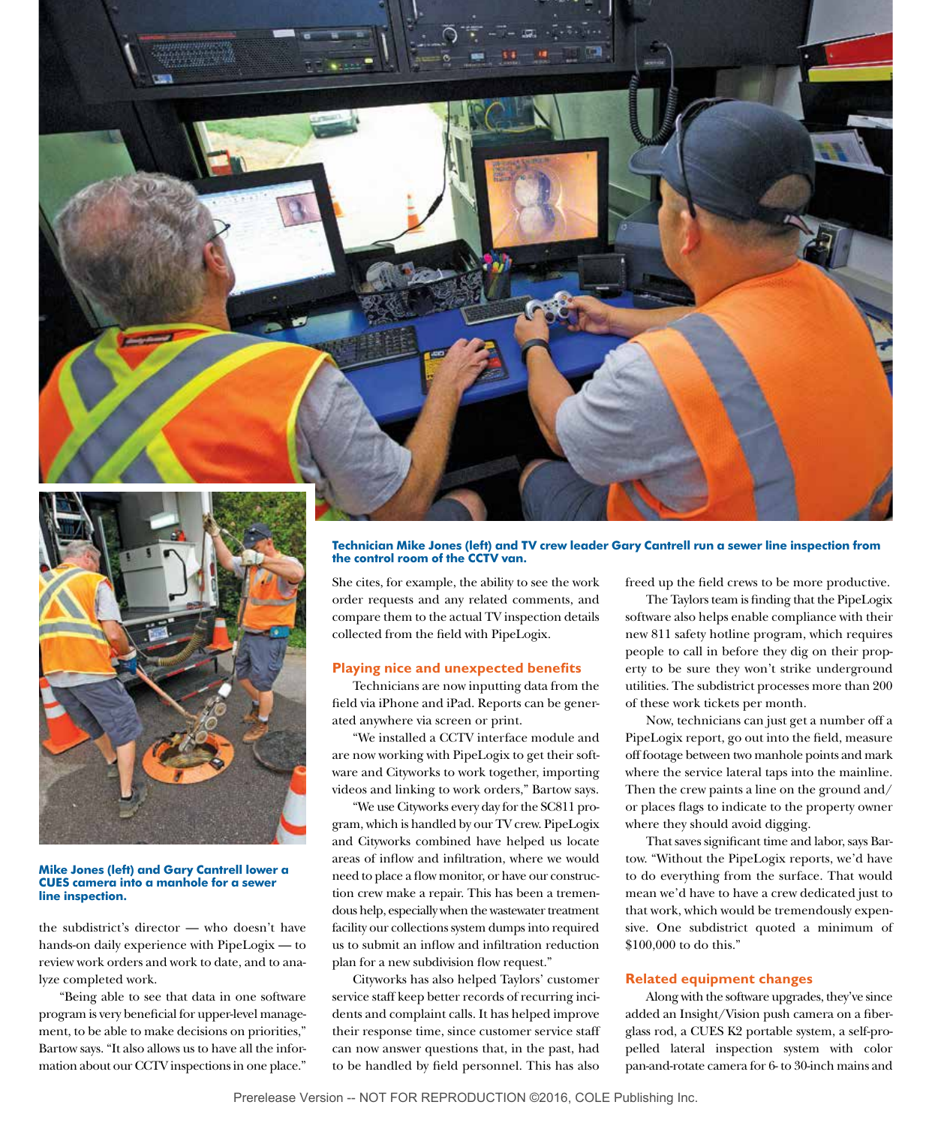

#### **Mike Jones (left) and Gary Cantrell lower a CUES camera into a manhole for a sewer line inspection.**

the subdistrict's director — who doesn't have hands-on daily experience with PipeLogix — to review work orders and work to date, and to analyze completed work.

"Being able to see that data in one software program is very beneficial for upper-level management, to be able to make decisions on priorities," Bartow says. "It also allows us to have all the information about our CCTV inspections in one place."

#### **Technician Mike Jones (left) and TV crew leader Gary Cantrell run a sewer line inspection from the control room of the CCTV van.**

She cites, for example, the ability to see the work order requests and any related comments, and compare them to the actual TV inspection details collected from the field with PipeLogix.

## **Playing nice and unexpected benefits**

Technicians are now inputting data from the field via iPhone and iPad. Reports can be generated anywhere via screen or print.

"We installed a CCTV interface module and are now working with PipeLogix to get their software and Cityworks to work together, importing videos and linking to work orders," Bartow says.

"We use Cityworks every day for the SC811 program, which is handled by our TV crew. PipeLogix and Cityworks combined have helped us locate areas of inflow and infiltration, where we would need to place a flow monitor, or have our construction crew make a repair. This has been a tremendous help, especially when the wastewater treatment facility our collections system dumps into required us to submit an inflow and infiltration reduction plan for a new subdivision flow request."

Cityworks has also helped Taylors' customer service staff keep better records of recurring incidents and complaint calls. It has helped improve their response time, since customer service staff can now answer questions that, in the past, had to be handled by field personnel. This has also

freed up the field crews to be more productive.

The Taylors team is finding that the PipeLogix software also helps enable compliance with their new 811 safety hotline program, which requires people to call in before they dig on their property to be sure they won't strike underground utilities. The subdistrict processes more than 200 of these work tickets per month.

Now, technicians can just get a number off a PipeLogix report, go out into the field, measure off footage between two manhole points and mark where the service lateral taps into the mainline. Then the crew paints a line on the ground and/ or places flags to indicate to the property owner where they should avoid digging.

That saves significant time and labor, says Bartow. "Without the PipeLogix reports, we'd have to do everything from the surface. That would mean we'd have to have a crew dedicated just to that work, which would be tremendously expensive. One subdistrict quoted a minimum of \$100,000 to do this."

## **Related equipment changes**

Along with the software upgrades, they've since added an Insight/Vision push camera on a fiberglass rod, a CUES K2 portable system, a self-propelled lateral inspection system with color pan-and-rotate camera for 6- to 30-inch mains and